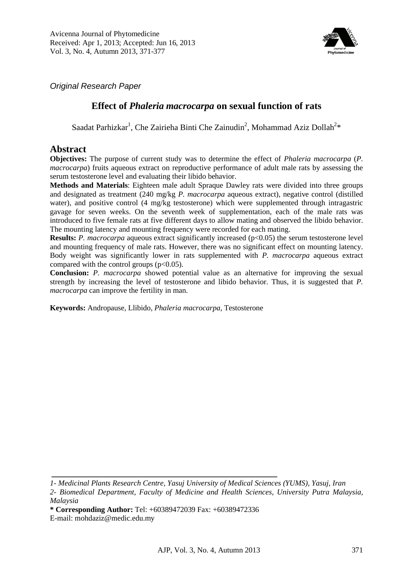

*Original Research Paper*

## **Effect of** *Phaleria macrocarpa* **on sexual function of rats**

Saadat Parhizkar<sup>1</sup>, Che Zairieha Binti Che Zainudin<sup>2</sup>, Mohammad Aziz Dollah<sup>2\*</sup>

## **Abstract**

**Objectives:** The purpose of current study was to determine the effect of *Phaleria macrocarpa* (*P. macrocarpa*) fruits aqueous extract on reproductive performance of adult male rats by assessing the serum testosterone level and evaluating their libido behavior.

**Methods and Materials**: Eighteen male adult Spraque Dawley rats were divided into three groups and designated as treatment (240 mg/kg *P. macrocarpa* aqueous extract), negative control (distilled water), and positive control (4 mg/kg testosterone) which were supplemented through intragastric gavage for seven weeks. On the seventh week of supplementation, each of the male rats was introduced to five female rats at five different days to allow mating and observed the libido behavior. The mounting latency and mounting frequency were recorded for each mating.

**Results:** *P. macrocarpa* aqueous extract significantly increased ( $p<0.05$ ) the serum testosterone level and mounting frequency of male rats. However, there was no significant effect on mounting latency. Body weight was significantly lower in rats supplemented with *P. macrocarpa* aqueous extract compared with the control groups  $(p<0.05)$ .

**Conclusion:** *P. macrocarpa* showed potential value as an alternative for improving the sexual strength by increasing the level of testosterone and libido behavior. Thus, it is suggested that *P. macrocarpa* can improve the fertility in man.

**Keywords:** Andropause, Llibido, *Phaleria macrocarpa,* Testosterone

*<sup>1-</sup> Medicinal Plants Research Centre, Yasuj University of Medical Sciences (YUMS), Yasuj, Iran 2- Biomedical Department, Faculty of Medicine and Health Sciences, University Putra Malaysia, Malaysia*

**<sup>\*</sup> Corresponding Author:** Tel: +60389472039 Fax: +60389472336

E-mail: mohdaziz@medic.edu.my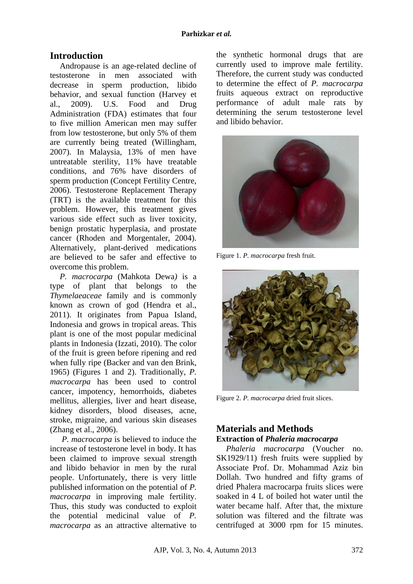# **Introduction**

Andropause is an age-related decline of testosterone in men associated with decrease in sperm production, libido behavior, and sexual function (Harvey et al., 2009). U.S. Food and Drug Administration (FDA) estimates that four to five million American men may suffer from low testosterone, but only 5% of them are currently being treated (Willingham, 2007). In Malaysia, 13% of men have untreatable sterility, 11% have treatable conditions, and 76% have disorders of sperm production (Concept Fertility Centre, 2006). Testosterone Replacement Therapy (TRT) is the available treatment for this problem. However, this treatment gives various side effect such as liver toxicity, benign prostatic hyperplasia, and prostate cancer (Rhoden and Morgentaler, 2004). Alternatively, plant-derived medications are believed to be safer and effective to overcome this problem.

*P. macrocarpa* (Mahkota Dewa*)* is a type of plant that belongs to the *Thymelaeaceae* family and is commonly known as crown of god (Hendra et al., 2011). It originates from Papua Island, Indonesia and grows in tropical areas. This plant is one of the most popular medicinal plants in Indonesia (Izzati, 2010). The color of the fruit is green before ripening and red when fully ripe (Backer and van den Brink, 1965) (Figures 1 and 2). Traditionally, *P. macrocarpa* has been used to control cancer, impotency, hemorrhoids, diabetes mellitus, allergies, liver and heart disease, kidney disorders, blood diseases, acne, stroke, migraine, and various skin diseases (Zhang et al., 2006).

*P. macrocarpa* is believed to induce the increase of testosterone level in body. It has been claimed to improve sexual strength and libido behavior in men by the rural people. Unfortunately, there is very little published information on the potential of *P. macrocarpa* in improving male fertility. Thus, this study was conducted to exploit the potential medicinal value of *P. macrocarpa* as an attractive alternative to the synthetic hormonal drugs that are currently used to improve male fertility. Therefore, the current study was conducted to determine the effect of *P. macrocarpa* fruits aqueous extract on reproductive performance of adult male rats by determining the serum testosterone level and libido behavior.



Figure 1. *P. macrocarpa* fresh fruit.



Figure 2. *P. macrocarpa* dried fruit slices.

### **Materials and Methods Extraction of** *Phaleria macrocarpa*

*Phaleria macrocarpa* (Voucher no. SK1929/11) fresh fruits were supplied by Associate Prof. Dr. Mohammad Aziz bin Dollah. Two hundred and fifty grams of dried Phalera macrocarpa fruits slices were soaked in 4 L of boiled hot water until the water became half. After that, the mixture solution was filtered and the filtrate was centrifuged at 3000 rpm for 15 minutes.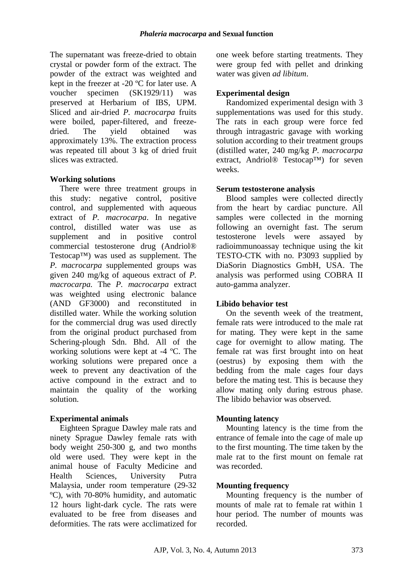The supernatant was freeze-dried to obtain crystal or powder form of the extract. The powder of the extract was weighted and kept in the freezer at -20 ºC for later use. A voucher specimen (SK1929/11) was preserved at Herbarium of IBS, UPM. Sliced and air-dried *P. macrocarpa* fruits were boiled, paper-filtered, and freezedried. The yield obtained was approximately 13%. The extraction process was repeated till about 3 kg of dried fruit slices was extracted.

### **Working solutions**

There were three treatment groups in this study: negative control, positive control, and supplemented with aqueous extract of *P. macrocarpa*. In negative control, distilled water was use as supplement and in positive control commercial testosterone drug (Andriol® Testocap™) was used as supplement. The *P. macrocarpa* supplemented groups was given 240 mg/kg of aqueous extract of *P. macrocarpa.* The *P. macrocarpa* extract was weighted using electronic balance (AND GF3000) and reconstituted in distilled water. While the working solution for the commercial drug was used directly from the original product purchased from Schering-plough Sdn. Bhd. All of the working solutions were kept at -4 ºC. The working solutions were prepared once a week to prevent any deactivation of the active compound in the extract and to maintain the quality of the working solution.

### **Experimental animals**

Eighteen Sprague Dawley male rats and ninety Sprague Dawley female rats with body weight 250-300 g, and two months old were used. They were kept in the animal house of Faculty Medicine and Health Sciences, University Putra Malaysia, under room temperature (29-32 ºC), with 70-80% humidity, and automatic 12 hours light-dark cycle. The rats were evaluated to be free from diseases and deformities. The rats were acclimatized for

one week before starting treatments. They were group fed with pellet and drinking water was given *ad libitum*.

## **Experimental design**

Randomized experimental design with 3 supplementations was used for this study. The rats in each group were force fed through intragastric gavage with working solution according to their treatment groups (distilled water, 240 mg/kg *P. macrocarpa* extract, Andriol® Testocap™) for seven weeks.

### **Serum testosterone analysis**

Blood samples were collected directly from the heart by cardiac puncture. All samples were collected in the morning following an overnight fast. The serum testosterone levels were assayed by radioimmunoassay technique using the kit TESTO-CTK with no. P3093 supplied by DiaSorin Diagnostics GmbH, USA. The analysis was performed using COBRA II auto-gamma analyzer.

### **Libido behavior test**

On the seventh week of the treatment, female rats were introduced to the male rat for mating. They were kept in the same cage for overnight to allow mating. The female rat was first brought into on heat (oestrus) by exposing them with the bedding from the male cages four days before the mating test. This is because they allow mating only during estrous phase. The libido behavior was observed.

### **Mounting latency**

Mounting latency is the time from the entrance of female into the cage of male up to the first mounting. The time taken by the male rat to the first mount on female rat was recorded.

### **Mounting frequency**

Mounting frequency is the number of mounts of male rat to female rat within 1 hour period. The number of mounts was recorded.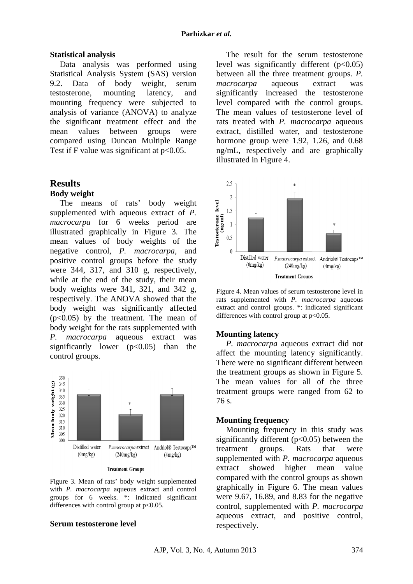#### **Statistical analysis**

Data analysis was performed using Statistical Analysis System (SAS) version 9.2. Data of body weight, serum testosterone, mounting latency, and mounting frequency were subjected to analysis of variance (ANOVA) to analyze the significant treatment effect and the mean values between groups were compared using Duncan Multiple Range Test if F value was significant at  $p<0.05$ .

## **Results**

### **Body weight**

The means of rats' body weight supplemented with aqueous extract of *P. macrocarpa* for 6 weeks period are illustrated graphically in Figure 3. The mean values of body weights of the negative control, *P. macrocarpa,* and positive control groups before the study were 344, 317, and 310 g, respectively, while at the end of the study, their mean body weights were 341, 321, and 342 g, respectively. The ANOVA showed that the body weight was significantly affected  $(p<0.05)$  by the treatment. The mean of body weight for the rats supplemented with *P. macrocarpa* aqueous extract was significantly lower  $(p<0.05)$  than the control groups.



Figure 3. Mean of rats' body weight supplemented with *P. macrocarpa* aqueous extract and control groups for 6 weeks. \*: indicated significant differences with control group at  $p<0.05$ .

#### **Serum testosterone level**

The result for the serum testosterone level was significantly different  $(p<0.05)$ between all the three treatment groups. *P. macrocarpa* aqueous extract was significantly increased the testosterone level compared with the control groups. The mean values of testosterone level of rats treated with *P. macrocarpa* aqueous extract, distilled water, and testosterone hormone group were 1.92, 1.26, and 0.68 ng/mL, respectively and are graphically illustrated in Figure 4.



Figure 4. Mean values of serum testosterone level in rats supplemented with *P. macrocarpa* aqueous extract and control groups. \*: indicated significant differences with control group at  $p<0.05$ .

#### **Mounting latency**

*P. macrocarpa* aqueous extract did not affect the mounting latency significantly. There were no significant different between the treatment groups as shown in Figure 5. The mean values for all of the three treatment groups were ranged from 62 to 76 s.

#### **Mounting frequency**

Mounting frequency in this study was significantly different  $(p<0.05)$  between the treatment groups. Rats that were supplemented with *P. macrocarpa* aqueous extract showed higher mean value compared with the control groups as shown graphically in Figure 6. The mean values were 9.67, 16.89, and 8.83 for the negative control, supplemented with *P. macrocarpa* aqueous extract, and positive control, respectively.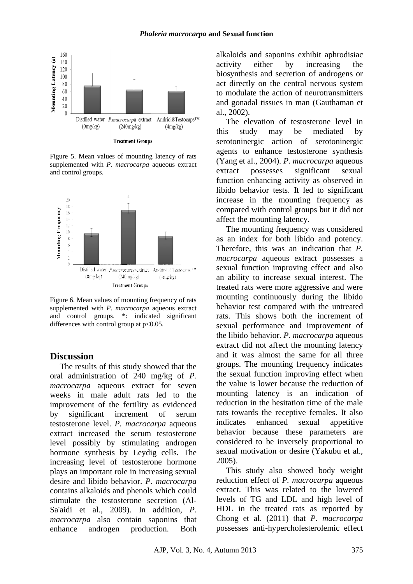

**Treatment Groups** 

Figure 5. Mean values of mounting latency of rats supplemented with *P. macrocarpa* aqueous extract and control groups.



Figure 6. Mean values of mounting frequency of rats supplemented with *P. macrocarpa* aqueous extract and control groups. \*: indicated significant differences with control group at  $p<0.05$ .

### **Discussion**

The results of this study showed that the oral administration of 240 mg/kg of *P. macrocarpa* aqueous extract for seven weeks in male adult rats led to the improvement of the fertility as evidenced by significant increment of serum testosterone level. *P. macrocarpa* aqueous extract increased the serum testosterone level possibly by stimulating androgen hormone synthesis by Leydig cells. The increasing level of testosterone hormone plays an important role in increasing sexual desire and libido behavior. *P. macrocarpa* contains alkaloids and phenols which could stimulate the testosterone secretion (Al-Sa'aidi et al., 2009). In addition, *P. macrocarpa* also contain saponins that enhance androgen production. Both alkaloids and saponins exhibit aphrodisiac activity either by increasing the biosynthesis and secretion of androgens or act directly on the central nervous system to modulate the action of neurotransmitters and gonadal tissues in man (Gauthaman et al., 2002).

The elevation of testosterone level in this study may be mediated by serotoninergic action of serotoninergic agents to enhance testosterone synthesis (Yang et al., 2004). *P. macrocarpa* aqueous extract possesses significant sexual function enhancing activity as observed in libido behavior tests. It led to significant increase in the mounting frequency as compared with control groups but it did not affect the mounting latency.

The mounting frequency was considered as an index for both libido and potency. Therefore, this was an indication that *P. macrocarpa* aqueous extract possesses a sexual function improving effect and also an ability to increase sexual interest. The treated rats were more aggressive and were mounting continuously during the libido behavior test compared with the untreated rats. This shows both the increment of sexual performance and improvement of the libido behavior. *P. macrocarpa* aqueous extract did not affect the mounting latency and it was almost the same for all three groups. The mounting frequency indicates the sexual function improving effect when the value is lower because the reduction of mounting latency is an indication of reduction in the hesitation time of the male rats towards the receptive females. It also indicates enhanced sexual appetitive behavior because these parameters are considered to be inversely proportional to sexual motivation or desire (Yakubu et al., 2005).

This study also showed body weight reduction effect of *P. macrocarpa* aqueous extract. This was related to the lowered levels of TG and LDL and high level of HDL in the treated rats as reported by Chong et al. (2011) that *P. macrocarpa* possesses anti-hypercholesterolemic effect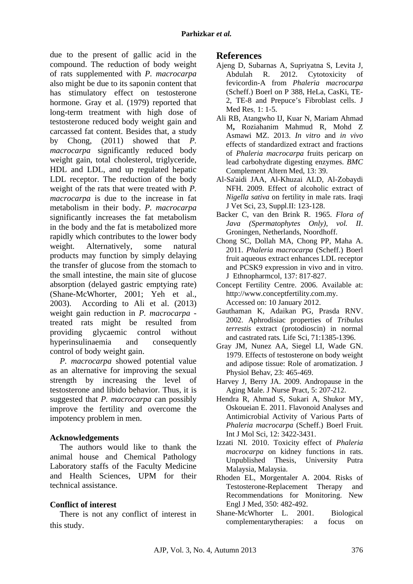due to the present of gallic acid in the compound. The reduction of body weight of rats supplemented with *P. macrocarpa* also might be due to its saponin content that has stimulatory effect on testosterone hormone. Gray et al. (1979) reported that long-term treatment with high dose of testosterone reduced body weight gain and carcassed fat content. Besides that, a study by Chong, (2011) showed that *P. macrocarpa* significantly reduced body weight gain, total cholesterol, triglyceride, HDL and LDL, and up regulated hepatic LDL receptor. The reduction of the body weight of the rats that were treated with *P. macrocarpa* is due to the increase in fat metabolism in their body. *P. macrocarpa*  significantly increases the fat metabolism in the body and the fat is metabolized more rapidly which contributes to the lower body weight. Alternatively, some natural products may function by simply delaying the transfer of glucose from the stomach to the small intestine, the main site of glucose absorption (delayed gastric emptying rate) (Shane-McWhorter, 2001; Yeh et al., 2003). According to Ali et al. (2013) weight gain reduction in *P. macrocarpa* treated rats might be resulted from providing glycaemic control without hyperinsulinaemia and consequently control of body weight gain.

*P. macrocarpa* showed potential value as an alternative for improving the sexual strength by increasing the level of testosterone and libido behavior. Thus, it is suggested that *P. macrocarpa* can possibly improve the fertility and overcome the impotency problem in men.

## **Acknowledgements**

The authors would like to thank the animal house and Chemical Pathology Laboratory staffs of the Faculty Medicine and Health Sciences, UPM for their technical assistance.

## **Conflict of interest**

There is not any conflict of interest in this study.

# **References**

- Ajeng D, Subarnas A, Supriyatna S, Levita J, Abdulah R. 2012. Cytotoxicity of fevicordin-A from *Phaleria macrocarpa*  (Scheff.) Boerl on P 388, HeLa, CasKi, TE-2, TE-8 and Prepuce's Fibroblast cells. J Med Res, 1: 1-5.
- Ali RB, Atangwho IJ, Kuar N, Mariam Ahmad M**,** Roziahanim Mahmud R, Mohd Z Asmawi MZ. 2013. *In vitro* and *in vivo* effects of standardized extract and fractions of *Phaleria macrocarpa* fruits pericarp on lead carbohydrate digesting enzymes. *BMC*  Complement Altern Med, 13: 39.
- Al-Sa'aidi JAA, Al-Khuzai ALD, Al-Zobaydi NFH. 2009. Effect of alcoholic extract of *Nigella sativa* on fertility in male rats. Iraqi J Vet Sci, 23, Suppl.II: 123-128.
- Backer C, van den Brink R. 1965. *Flora of Java (Spermatophytes Only), vol. II*. Groningen, Netherlands, Noordhoff.
- Chong SC, Dollah MA, Chong PP, Maha A. 2011. *Phaleria macrocarpa* (Scheff.) Boerl fruit aqueous extract enhances LDL receptor and PCSK9 expression in vivo and in vitro. J Ethnopharmcol, 137: 817-827.
- Concept Fertility Centre. 2006. Available at: http://www.conceptfertility.com.my. Accessed on: 10 January 2012.
- Gauthaman K, Adaikan PG, Prasda RNV. 2002. Aphrodisiac properties of *Tribulus terrestis* extract (protodioscin) in normal and castrated rats*.* Life Sci, 71:1385-1396.
- Gray JM, Nunez AA, Siegel LI, Wade GN. 1979. Effects of testosterone on body weight and adipose tissue: Role of aromatization. J Physiol Behav, 23: 465-469.
- Harvey J, Berry JA. 2009. Andropause in the Aging Male. J Nurse Pract, 5: 207-212.
- Hendra R, Ahmad S, Sukari A, Shukor MY, Oskoueian E. 2011. Flavonoid Analyses and Antimicrobial Activity of Various Parts of *Phaleria macrocarpa* (Scheff.) Boerl Fruit*.*  Int J Mol Sci, 12: 3422-3431.
- Izzati NI. 2010. Toxicity effect of *Phaleria macrocarpa* on kidney functions in rats. Unpublished Thesis, University Putra Malaysia, Malaysia.
- Rhoden EL, Morgentaler A. 2004. Risks of Testosterone-Replacement Therapy and Recommendations for Monitoring. New Engl J Med, 350: 482-492.
- Shane-McWhorter L. 2001. Biological complementarytherapies: a focus on